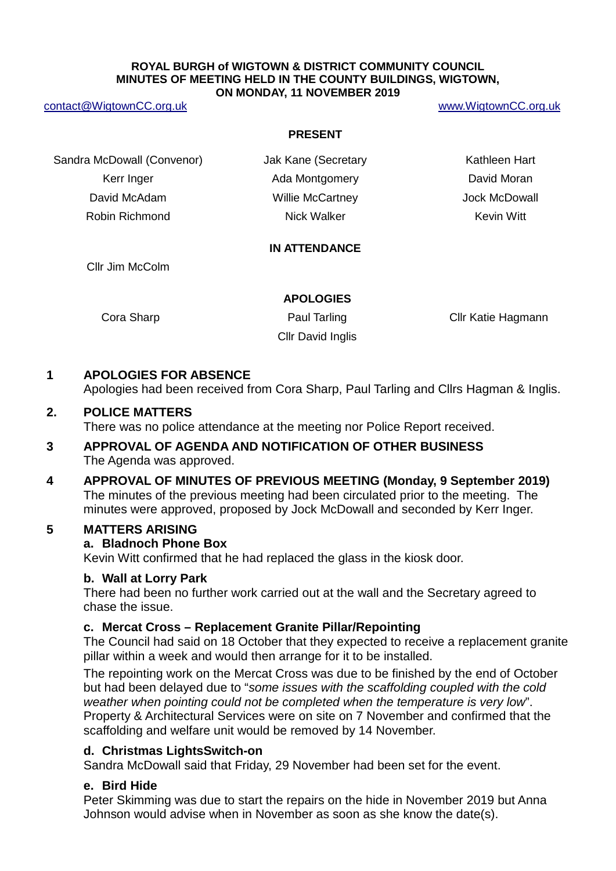#### **ROYAL BURGH of WIGTOWN & DISTRICT COMMUNITY COUNCIL MINUTES OF MEETING HELD IN THE COUNTY BUILDINGS, WIGTOWN, ON MONDAY, 11 NOVEMBER 2019**

#### [contact@WigtownCC.org.uk](mailto:contact@WigtownCC.org.uk) [www.WigtownCC.org.uk](http://www.wigtowncc.org.uk/)

#### **PRESENT**

Sandra McDowall (Convenor) **Jak Kane (Secretary Kathleen Hart** Kerr Inger **Ada Montgomery Containers** David Moran David McAdam Willie McCartney Jock McDowall Robin Richmond **Nick Walker** Nick Walker **Kevin Witt** 

### **IN ATTENDANCE**

Cllr Jim McColm

#### **APOLOGIES**

Cllr David Inglis

Cora Sharp **Paul Tarling Cora Sharp** Cllr Katie Hagmann

# **1 APOLOGIES FOR ABSENCE**

Apologies had been received from Cora Sharp, Paul Tarling and Cllrs Hagman & Inglis.

## **2. POLICE MATTERS**

There was no police attendance at the meeting nor Police Report received.

# **3 APPROVAL OF AGENDA AND NOTIFICATION OF OTHER BUSINESS** The Agenda was approved.

**4 APPROVAL OF MINUTES OF PREVIOUS MEETING (Monday, 9 September 2019)** The minutes of the previous meeting had been circulated prior to the meeting. The minutes were approved, proposed by Jock McDowall and seconded by Kerr Inger.

## **5 MATTERS ARISING**

## **a. Bladnoch Phone Box**

Kevin Witt confirmed that he had replaced the glass in the kiosk door.

## **b. Wall at Lorry Park**

There had been no further work carried out at the wall and the Secretary agreed to chase the issue.

## **c. Mercat Cross – Replacement Granite Pillar/Repointing**

The Council had said on 18 October that they expected to receive a replacement granite pillar within a week and would then arrange for it to be installed.

The repointing work on the Mercat Cross was due to be finished by the end of October but had been delayed due to "*some issues with the scaffolding coupled with the cold weather when pointing could not be completed when the temperature is very low*". Property & Architectural Services were on site on 7 November and confirmed that the scaffolding and welfare unit would be removed by 14 November.

## **d. Christmas LightsSwitch-on**

Sandra McDowall said that Friday, 29 November had been set for the event.

## **e. Bird Hide**

Peter Skimming was due to start the repairs on the hide in November 2019 but Anna Johnson would advise when in November as soon as she know the date(s).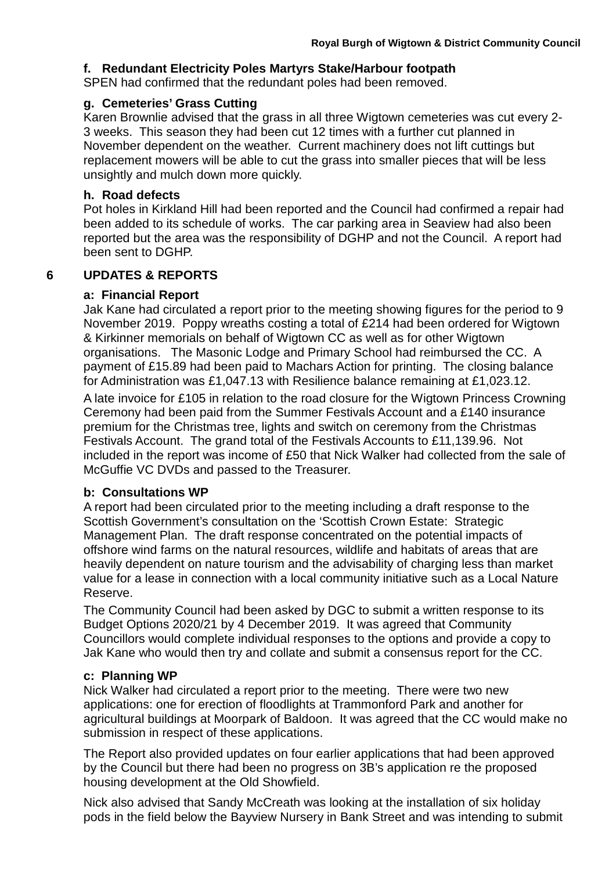## **f. Redundant Electricity Poles Martyrs Stake/Harbour footpath**

SPEN had confirmed that the redundant poles had been removed.

### **g. Cemeteries' Grass Cutting**

Karen Brownlie advised that the grass in all three Wigtown cemeteries was cut every 2- 3 weeks. This season they had been cut 12 times with a further cut planned in November dependent on the weather. Current machinery does not lift cuttings but replacement mowers will be able to cut the grass into smaller pieces that will be less unsightly and mulch down more quickly.

### **h. Road defects**

Pot holes in Kirkland Hill had been reported and the Council had confirmed a repair had been added to its schedule of works. The car parking area in Seaview had also been reported but the area was the responsibility of DGHP and not the Council. A report had been sent to DGHP.

## **6 UPDATES & REPORTS**

## **a: Financial Report**

Jak Kane had circulated a report prior to the meeting showing figures for the period to 9 November 2019. Poppy wreaths costing a total of £214 had been ordered for Wigtown & Kirkinner memorials on behalf of Wigtown CC as well as for other Wigtown organisations. The Masonic Lodge and Primary School had reimbursed the CC. A payment of £15.89 had been paid to Machars Action for printing. The closing balance for Administration was £1,047.13 with Resilience balance remaining at £1,023.12.

A late invoice for £105 in relation to the road closure for the Wigtown Princess Crowning Ceremony had been paid from the Summer Festivals Account and a £140 insurance premium for the Christmas tree, lights and switch on ceremony from the Christmas Festivals Account. The grand total of the Festivals Accounts to £11,139.96. Not included in the report was income of £50 that Nick Walker had collected from the sale of McGuffie VC DVDs and passed to the Treasurer.

### **b: Consultations WP**

A report had been circulated prior to the meeting including a draft response to the Scottish Government's consultation on the 'Scottish Crown Estate: Strategic Management Plan. The draft response concentrated on the potential impacts of offshore wind farms on the natural resources, wildlife and habitats of areas that are heavily dependent on nature tourism and the advisability of charging less than market value for a lease in connection with a local community initiative such as a Local Nature Reserve.

The Community Council had been asked by DGC to submit a written response to its Budget Options 2020/21 by 4 December 2019. It was agreed that Community Councillors would complete individual responses to the options and provide a copy to Jak Kane who would then try and collate and submit a consensus report for the CC.

## **c: Planning WP**

Nick Walker had circulated a report prior to the meeting. There were two new applications: one for erection of floodlights at Trammonford Park and another for agricultural buildings at Moorpark of Baldoon. It was agreed that the CC would make no submission in respect of these applications.

The Report also provided updates on four earlier applications that had been approved by the Council but there had been no progress on 3B's application re the proposed housing development at the Old Showfield.

Nick also advised that Sandy McCreath was looking at the installation of six holiday pods in the field below the Bayview Nursery in Bank Street and was intending to submit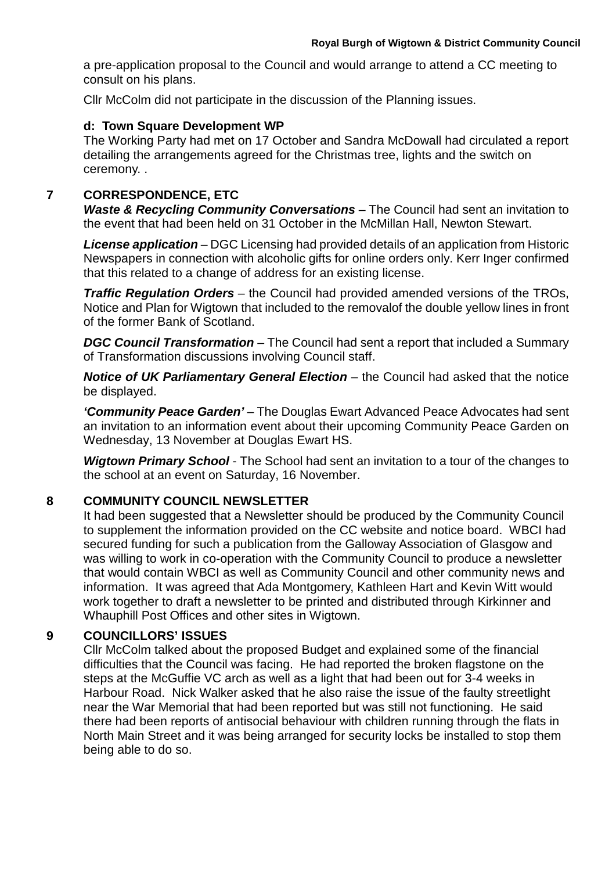a pre-application proposal to the Council and would arrange to attend a CC meeting to consult on his plans.

Cllr McColm did not participate in the discussion of the Planning issues.

## **d: Town Square Development WP**

The Working Party had met on 17 October and Sandra McDowall had circulated a report detailing the arrangements agreed for the Christmas tree, lights and the switch on ceremony. .

# **7 CORRESPONDENCE, ETC**

Waste & Recycling Community Conversations - The Council had sent an invitation to the event that had been held on 31 October in the McMillan Hall, Newton Stewart.

*License application* – DGC Licensing had provided details of an application from Historic Newspapers in connection with alcoholic gifts for online orders only. Kerr Inger confirmed that this related to a change of address for an existing license.

*Traffic Regulation Orders* – the Council had provided amended versions of the TROs, Notice and Plan for Wigtown that included to the removalof the double yellow lines in front of the former Bank of Scotland.

*DGC Council Transformation* – The Council had sent a report that included a Summary of Transformation discussions involving Council staff.

*Notice of UK Parliamentary General Election* – the Council had asked that the notice be displayed.

*'Community Peace Garden'* – The Douglas Ewart Advanced Peace Advocates had sent an invitation to an information event about their upcoming Community Peace Garden on Wednesday, 13 November at Douglas Ewart HS.

*Wigtown Primary School* - The School had sent an invitation to a tour of the changes to the school at an event on Saturday, 16 November.

# **8 COMMUNITY COUNCIL NEWSLETTER**

It had been suggested that a Newsletter should be produced by the Community Council to supplement the information provided on the CC website and notice board. WBCI had secured funding for such a publication from the Galloway Association of Glasgow and was willing to work in co-operation with the Community Council to produce a newsletter that would contain WBCI as well as Community Council and other community news and information. It was agreed that Ada Montgomery, Kathleen Hart and Kevin Witt would work together to draft a newsletter to be printed and distributed through Kirkinner and Whauphill Post Offices and other sites in Wigtown.

# **9 COUNCILLORS' ISSUES**

Cllr McColm talked about the proposed Budget and explained some of the financial difficulties that the Council was facing. He had reported the broken flagstone on the steps at the McGuffie VC arch as well as a light that had been out for 3-4 weeks in Harbour Road. Nick Walker asked that he also raise the issue of the faulty streetlight near the War Memorial that had been reported but was still not functioning. He said there had been reports of antisocial behaviour with children running through the flats in North Main Street and it was being arranged for security locks be installed to stop them being able to do so.